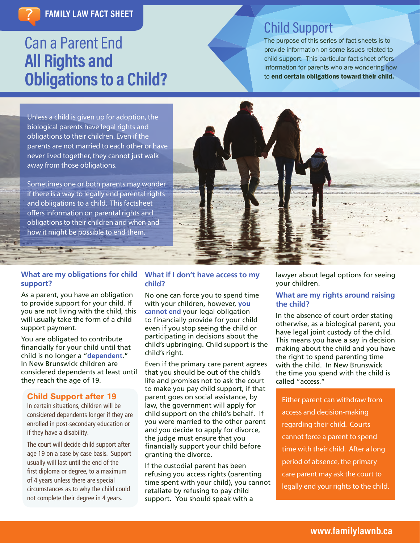# Can a Parent End **All Rights and Obligations to a Child?**

## Child Support

The purpose of this series of fact sheets is to provide information on some issues related to child support. This particular fact sheet offers information for parents who are wondering how to end certain obligations toward their child.

Unless a child is given up for adoption, the biological parents have legal rights and obligations to their children. Even if the parents are not married to each other or have never lived together, they cannot just walk away from those obligations.

Sometimes one or both parents may wonder if there is a way to legally end parental rights and obligations to a child. This factsheet offers information on parental rights and obligations to their children and when and how it might be possible to end them.



#### **What are my obligations for child support?**

As a parent, you have an obligation to provide support for your child. If you are not living with the child, this will usually take the form of a child support payment.

You are obligated to contribute financially for your child until that child is no longer a "**dependent**." In New Brunswick children are considered dependents at least until they reach the age of 19.

#### Child Support after 19

In certain situations, children will be considered dependents longer if they are enrolled in post-secondary education or if they have a disability.

The court will decide child support after age 19 on a case by case basis. Support usually will last until the end of the first diploma or degree, to a maximum of 4 years unless there are special circumstances as to why the child could not complete their degree in 4 years.

#### **What if I don't have access to my child?**

No one can force you to spend time with your children, however, **you cannot end** your legal obligation to financially provide for your child even if you stop seeing the child or participating in decisions about the child's upbringing. Child support is the child's right.

Even if the primary care parent agrees that you should be out of the child's life and promises not to ask the court to make you pay child support, if that parent goes on social assistance, by law, the government will apply for child support on the child's behalf. If you were married to the other parent and you decide to apply for divorce, the judge must ensure that you financially support your child before granting the divorce.

If the custodial parent has been refusing you access rights (parenting time spent with your child), you cannot retaliate by refusing to pay child support. You should speak with a

lawyer about legal options for seeing your children.

#### **What are my rights around raising the child?**

In the absence of court order stating otherwise, as a biological parent, you have legal joint custody of the child. This means you have a say in decision making about the child and you have the right to spend parenting time with the child. In New Brunswick the time you spend with the child is called "access."

Either parent can withdraw from access and decision-making regarding their child. Courts cannot force a parent to spend time with their child. After a long period of absence, the primary care parent may ask the court to legally end your rights to the child.